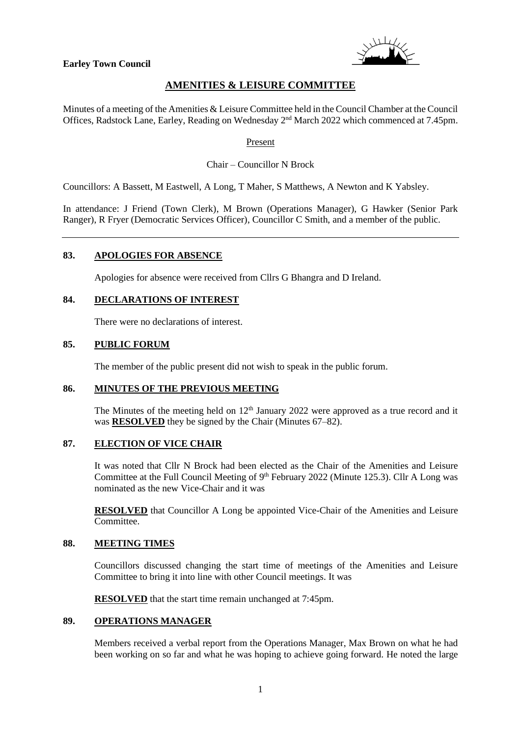



# **AMENITIES & LEISURE COMMITTEE**

Minutes of a meeting of the Amenities & Leisure Committee held in the Council Chamber at the Council Offices, Radstock Lane, Earley, Reading on Wednesday 2<sup>nd</sup> March 2022 which commenced at 7.45pm.

#### Present

## Chair – Councillor N Brock

Councillors: A Bassett, M Eastwell, A Long, T Maher, S Matthews, A Newton and K Yabsley.

In attendance: J Friend (Town Clerk), M Brown (Operations Manager), G Hawker (Senior Park Ranger), R Fryer (Democratic Services Officer), Councillor C Smith, and a member of the public.

## **83. APOLOGIES FOR ABSENCE**

Apologies for absence were received from Cllrs G Bhangra and D Ireland.

## **84. DECLARATIONS OF INTEREST**

There were no declarations of interest.

## **85. PUBLIC FORUM**

The member of the public present did not wish to speak in the public forum.

#### **86. MINUTES OF THE PREVIOUS MEETING**

The Minutes of the meeting held on  $12<sup>th</sup>$  January 2022 were approved as a true record and it was **RESOLVED** they be signed by the Chair (Minutes 67–82).

#### **87. ELECTION OF VICE CHAIR**

It was noted that Cllr N Brock had been elected as the Chair of the Amenities and Leisure Committee at the Full Council Meeting of 9<sup>th</sup> February 2022 (Minute 125.3). Cllr A Long was nominated as the new Vice-Chair and it was

**RESOLVED** that Councillor A Long be appointed Vice-Chair of the Amenities and Leisure Committee.

### **88. MEETING TIMES**

Councillors discussed changing the start time of meetings of the Amenities and Leisure Committee to bring it into line with other Council meetings. It was

**RESOLVED** that the start time remain unchanged at 7:45pm.

## **89. OPERATIONS MANAGER**

Members received a verbal report from the Operations Manager, Max Brown on what he had been working on so far and what he was hoping to achieve going forward. He noted the large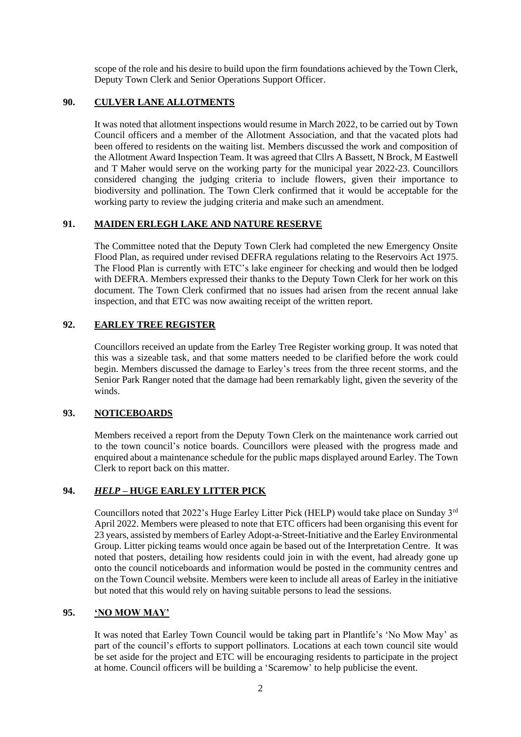scope of the role and his desire to build upon the firm foundations achieved by the Town Clerk, Deputy Town Clerk and Senior Operations Support Officer.

## **90. CULVER LANE ALLOTMENTS**

It was noted that allotment inspections would resume in March 2022, to be carried out by Town Council officers and a member of the Allotment Association, and that the vacated plots had been offered to residents on the waiting list. Members discussed the work and composition of the Allotment Award Inspection Team. It was agreed that Cllrs A Bassett, N Brock, M Eastwell and T Maher would serve on the working party for the municipal year 2022-23. Councillors considered changing the judging criteria to include flowers, given their importance to biodiversity and pollination. The Town Clerk confirmed that it would be acceptable for the working party to review the judging criteria and make such an amendment.

## **91. MAIDEN ERLEGH LAKE AND NATURE RESERVE**

The Committee noted that the Deputy Town Clerk had completed the new Emergency Onsite Flood Plan, as required under revised DEFRA regulations relating to the Reservoirs Act 1975. The Flood Plan is currently with ETC's lake engineer for checking and would then be lodged with DEFRA. Members expressed their thanks to the Deputy Town Clerk for her work on this document. The Town Clerk confirmed that no issues had arisen from the recent annual lake inspection, and that ETC was now awaiting receipt of the written report.

## **92. EARLEY TREE REGISTER**

Councillors received an update from the Earley Tree Register working group. It was noted that this was a sizeable task, and that some matters needed to be clarified before the work could begin. Members discussed the damage to Earley's trees from the three recent storms, and the Senior Park Ranger noted that the damage had been remarkably light, given the severity of the winds.

#### **93. NOTICEBOARDS**

Members received a report from the Deputy Town Clerk on the maintenance work carried out to the town council's notice boards. Councillors were pleased with the progress made and enquired about a maintenance schedule for the public maps displayed around Earley. The Town Clerk to report back on this matter.

## **94.** *HELP* **– HUGE EARLEY LITTER PICK**

Councillors noted that 2022's Huge Earley Litter Pick (HELP) would take place on Sunday 3rd April 2022. Members were pleased to note that ETC officers had been organising this event for 23 years, assisted by members of Earley Adopt-a-Street-Initiative and the Earley Environmental Group. Litter picking teams would once again be based out of the Interpretation Centre. It was noted that posters, detailing how residents could join in with the event, had already gone up onto the council noticeboards and information would be posted in the community centres and on the Town Council website. Members were keen to include all areas of Earley in the initiative but noted that this would rely on having suitable persons to lead the sessions.

#### **95. 'NO MOW MAY'**

It was noted that Earley Town Council would be taking part in Plantlife's 'No Mow May' as part of the council's efforts to support pollinators. Locations at each town council site would be set aside for the project and ETC will be encouraging residents to participate in the project at home. Council officers will be building a 'Scaremow' to help publicise the event.